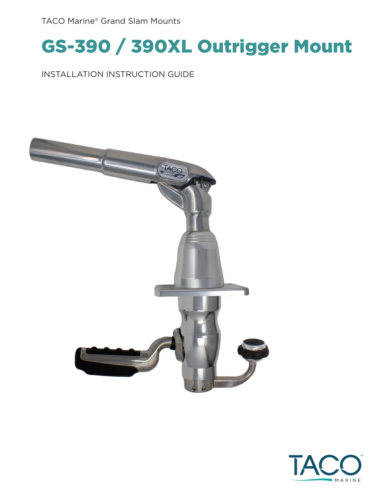TACO Marine® Grand Slam Mounts

### GS-390 / 390XL Outrigger Mount

INSTALLATION INSTRUCTION GUIDE



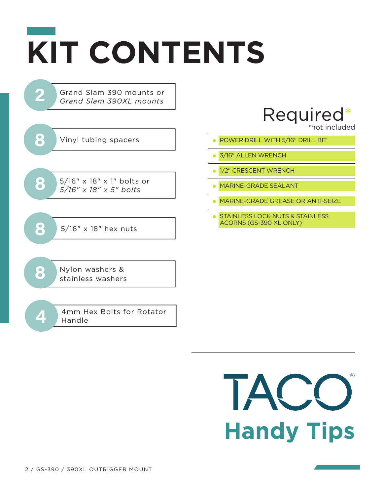# **KIT CONTENTS**

Grand Slam 390 mounts or *Grand Slam 390XL mounts*

Vinyl tubing spacers **8** • **•** Vinyl tubing spacers **• • • • • • • POWER DRILL WITH 5/16" DRILL BIT** 

**2**

5/16" x 18" x 1" bolts or **8** *5/16" x 18" x 5" bolts*

**8** 5/16" x 18" hex nuts

**8** Nylon washers & **8** stainless washers

**4** 4mm Hex Bolts for Rotator Handle

### Required\*

\*not included

- 
- **•** 3/16" ALLEN WRENCH
- **•** 1/2" CRESCENT WRENCH
- **•** MARINE-GRADE SEALANT
- **•** MARINE-GRADE GREASE OR ANTI-SEIZE
- **•** STAINLESS LOCK NUTS & STAINLESS ACORNS (GS-390 XL ONLY)

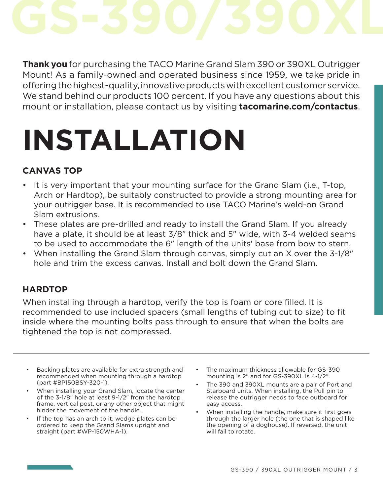**Thank you** for purchasing the TACO Marine Grand Slam 390 or 390XL Outrigger Mount! As a family-owned and operated business since 1959, we take pride in offering the highest-quality, innovative products with excellent customer service. We stand behind our products 100 percent. If you have any questions about this mount or installation, please contact us by visiting **tacomarine.com/contactus**.

## **INSTALLATION**

#### **CANVAS TOP**

- It is very important that your mounting surface for the Grand Slam (i.e., T-top, Arch or Hardtop), be suitably constructed to provide a strong mounting area for your outrigger base. It is recommended to use TACO Marine's weld-on Grand Slam extrusions.
- These plates are pre-drilled and ready to install the Grand Slam. If you already have a plate, it should be at least 3/8" thick and 5" wide, with 3-4 welded seams to be used to accommodate the 6" length of the units' base from bow to stern.
- When installing the Grand Slam through canvas, simply cut an X over the 3-1/8" hole and trim the excess canvas. Install and bolt down the Grand Slam.

#### **HARDTOP**

When installing through a hardtop, verify the top is foam or core filled. It is recommended to use included spacers (small lengths of tubing cut to size) to fit inside where the mounting bolts pass through to ensure that when the bolts are tightened the top is not compressed.

- Backing plates are available for extra strength and recommended when mounting through a hardtop (part #BP150BSY-320-1).
- When installing your Grand Slam, locate the center of the 3-1/8" hole at least 9-1/2" from the hardtop frame, vertical post, or any other object that might hinder the movement of the handle.
- If the top has an arch to it, wedge plates can be ordered to keep the Grand Slams upright and straight (part #WP-150WHA-1).
- The maximum thickness allowable for GS-390 mounting is 2" and for GS-390XL is 4-1/2".
- The 390 and 390XL mounts are a pair of Port and Starboard units. When installing, the Pull pin to release the outrigger needs to face outboard for easy access.
- When installing the handle, make sure it first goes through the larger hole (the one that is shaped like the opening of a doghouse). If reversed, the unit will fail to rotate.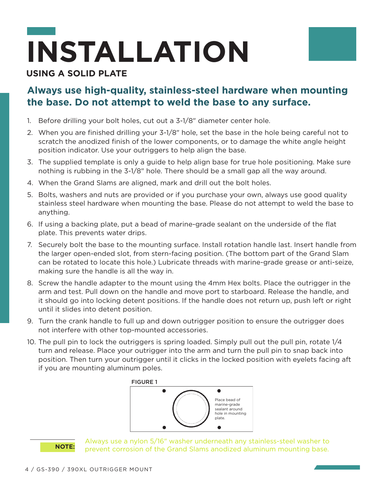# **INSTALLATION**

#### **USING A SOLID PLATE**

#### **Always use high-quality, stainless-steel hardware when mounting the base. Do not attempt to weld the base to any surface.**

- 1. Before drilling your bolt holes, cut out a 3-1/8" diameter center hole.
- 2. When you are finished drilling your 3-1/8" hole, set the base in the hole being careful not to scratch the anodized finish of the lower components, or to damage the white angle height position indicator. Use your outriggers to help align the base.
- 3. The supplied template is only a guide to help align base for true hole positioning. Make sure nothing is rubbing in the 3-1/8" hole. There should be a small gap all the way around.
- 4. When the Grand Slams are aligned, mark and drill out the bolt holes.
- 5. Bolts, washers and nuts are provided or if you purchase your own, always use good quality stainless steel hardware when mounting the base. Please do not attempt to weld the base to anything.
- 6. If using a backing plate, put a bead of marine-grade sealant on the underside of the flat plate. This prevents water drips.
- 7. Securely bolt the base to the mounting surface. Install rotation handle last. Insert handle from the larger open-ended slot, from stern-facing position. (The bottom part of the Grand Slam can be rotated to locate this hole.) Lubricate threads with marine-grade grease or anti-seize, making sure the handle is all the way in.
- 8. Screw the handle adapter to the mount using the 4mm Hex bolts. Place the outrigger in the arm and test. Pull down on the handle and move port to starboard. Release the handle, and it should go into locking detent positions. If the handle does not return up, push left or right until it slides into detent position.
- 9. Turn the crank handle to full up and down outrigger position to ensure the outrigger does not interfere with other top-mounted accessories.
- 10. The pull pin to lock the outriggers is spring loaded. Simply pull out the pull pin, rotate 1/4 turn and release. Place your outrigger into the arm and turn the pull pin to snap back into position. Then turn your outrigger until it clicks in the locked position with eyelets facing aft if you are mounting aluminum poles.





Always use a nylon 5/16" washer underneath any stainless-steel washer to prevent corrosion of the Grand Slams anodized aluminum mounting base.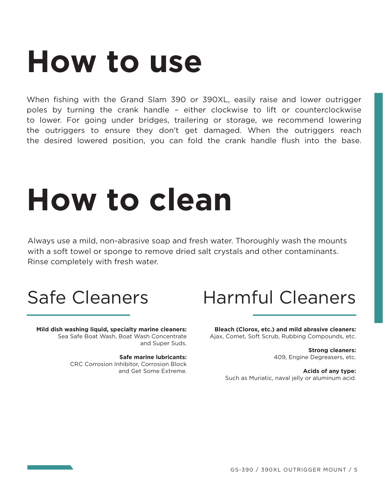### **How to use**

When fishing with the Grand Slam 390 or 390XL, easily raise and lower outrigger poles by turning the crank handle – either clockwise to lift or counterclockwise to lower. For going under bridges, trailering or storage, we recommend lowering the outriggers to ensure they don't get damaged. When the outriggers reach the desired lowered position, you can fold the crank handle flush into the base.

## **How to clean**

Always use a mild, non-abrasive soap and fresh water. Thoroughly wash the mounts with a soft towel or sponge to remove dried salt crystals and other contaminants. Rinse completely with fresh water.

**Mild dish washing liquid, specialty marine cleaners:**  Sea Safe Boat Wash, Boat Wash Concentrate and Super Suds.

> **Safe marine lubricants:**  CRC Corrosion Inhibitor, Corrosion Block and Get Some Extreme.

### Safe Cleaners Harmful Cleaners

**Bleach (Clorox, etc.) and mild abrasive cleaners:** Ajax, Comet, Soft Scrub, Rubbing Compounds, etc.

> **Strong cleaners:** 409, Engine Degreasers, etc.

**Acids of any type:** Such as Muriatic, naval jelly or aluminum acid.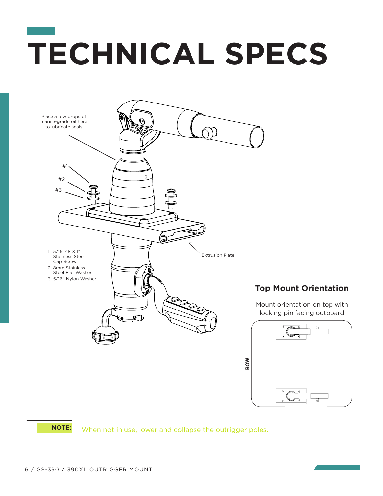## **TECHNICAL SPECS**

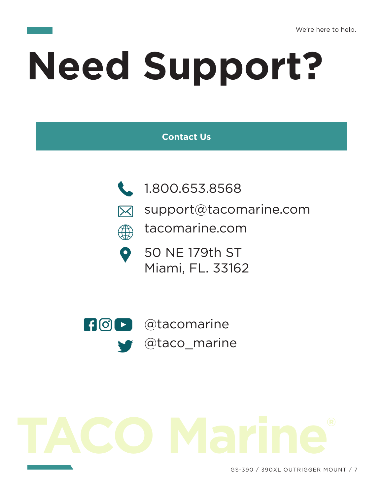# **Need Support?**

#### **Contact Us**



 $\bullet$ 

- 1.800.653.8568
- support@tacomarine.com  $\boxtimes$
- tacomarine.com ∰
	- 50 NE 179th ST Miami, FL. 33162



@tacomarine @taco\_marine